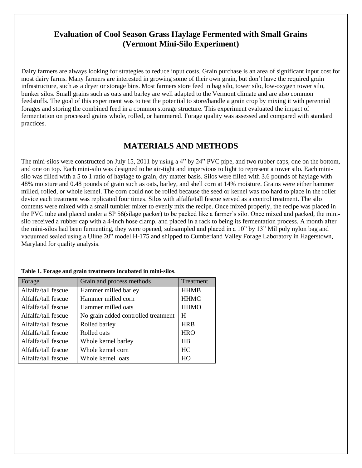### **Evaluation of Cool Season Grass Haylage Fermented with Small Grains (Vermont Mini-Silo Experiment)**

Dairy farmers are always looking for strategies to reduce input costs. Grain purchase is an area of significant input cost for most dairy farms. Many farmers are interested in growing some of their own grain, but don't have the required grain infrastructure, such as a dryer or storage bins. Most farmers store feed in bag silo, tower silo, low-oxygen tower silo, bunker silos. Small grains such as oats and barley are well adapted to the Vermont climate and are also common feedstuffs. The goal of this experiment was to test the potential to store/handle a grain crop by mixing it with perennial forages and storing the combined feed in a common storage structure. This experiment evaluated the impact of fermentation on processed grains whole, rolled, or hammered. Forage quality was assessed and compared with standard practices.

# **MATERIALS AND METHODS**

The mini-silos were constructed on July 15, 2011 by using a 4" by 24" PVC pipe, and two rubber caps, one on the bottom, and one on top. Each mini-silo was designed to be air-tight and impervious to light to represent a tower silo. Each minisilo was filled with a 5 to 1 ratio of haylage to grain, dry matter basis. Silos were filled with 3.6 pounds of haylage with 48% moisture and 0.48 pounds of grain such as oats, barley, and shell corn at 14% moisture. Grains were either hammer milled, rolled, or whole kernel. The corn could not be rolled because the seed or kernel was too hard to place in the roller device each treatment was replicated four times. Silos with alfalfa/tall fescue served as a control treatment. The silo contents were mixed with a small tumbler mixer to evenly mix the recipe. Once mixed properly, the recipe was placed in the PVC tube and placed under a SP 56(silage packer) to be packed like a farmer's silo. Once mixed and packed, the minisilo received a rubber cap with a 4-inch hose clamp, and placed in a rack to being its fermentation process. A month after the mini-silos had been fermenting, they were opened, subsampled and placed in a 10" by 13" Mil poly nylon bag and vacuumed sealed using a Uline 20" model H-175 and shipped to Cumberland Valley Forage Laboratory in Hagerstown, Maryland for quality analysis.

| Forage              | Grain and process methods           | Treatment   |
|---------------------|-------------------------------------|-------------|
| Alfalfa/tall fescue | Hammer milled barley                | <b>HHMB</b> |
| Alfalfa/tall fescue | Hammer milled corn                  | <b>HHMC</b> |
| Alfalfa/tall fescue | Hammer milled oats                  | <b>HHMO</b> |
| Alfalfa/tall fescue | No grain added controlled treatment | H           |
| Alfalfa/tall fescue | Rolled barley                       | <b>HRB</b>  |
| Alfalfa/tall fescue | Rolled oats                         | <b>HRO</b>  |
| Alfalfa/tall fescue | Whole kernel barley                 | <b>HB</b>   |
| Alfalfa/tall fescue | Whole kernel corn                   | HC          |
| Alfalfa/tall fescue | Whole kernel oats                   | HO          |

**Table 1. Forage and grain treatments incubated in mini-silos**.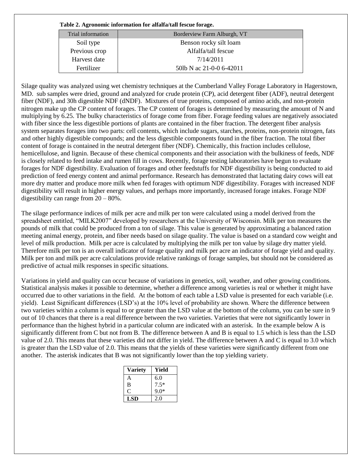**Table 2. Agronomic information for alfalfa/tall fescue forage.** 

| Trial information | Borderview Farm Alburgh, VT |
|-------------------|-----------------------------|
| Soil type         | Benson rocky silt loam      |
| Previous crop     | Alfalfa/tall fescue         |
| Harvest date      | 7/14/2011                   |
| Fertilizer        | 50lb N ac 21-0-0 6-42011    |

Silage quality was analyzed using wet chemistry techniques at the Cumberland Valley Forage Laboratory in Hagerstown, MD. sub samples were dried, ground and analyzed for crude protein (CP), acid detergent fiber (ADF), neutral detergent fiber (NDF), and 30h digestible NDF (dNDF). Mixtures of true proteins, composed of amino acids, and non-protein nitrogen make up the CP content of forages. The CP content of forages is determined by measuring the amount of N and multiplying by 6.25. The bulky characteristics of forage come from fiber. Forage feeding values are negatively associated with fiber since the less digestible portions of plants are contained in the fiber fraction. The detergent fiber analysis system separates forages into two parts: cell contents, which include sugars, starches, proteins, non-protein nitrogen, fats and other highly digestible compounds; and the less digestible components found in the fiber fraction. The total fiber content of forage is contained in the neutral detergent fiber (NDF). Chemically, this fraction includes cellulose, hemicellulose, and lignin. Because of these chemical components and their association with the bulkiness of feeds, NDF is closely related to feed intake and rumen fill in cows. Recently, forage testing laboratories have begun to evaluate forages for NDF digestibility. Evaluation of forages and other feedstuffs for NDF digestibility is being conducted to aid prediction of feed energy content and animal performance. Research has demonstrated that lactating dairy cows will eat more dry matter and produce more milk when fed forages with optimum NDF digestibility. Forages with increased NDF digestibility will result in higher energy values, and perhaps more importantly, increased forage intakes. Forage NDF digestibility can range from 20 – 80%.

The silage performance indices of milk per acre and milk per ton were calculated using a model derived from the spreadsheet entitled, "MILK2007" developed by researchers at the University of Wisconsin. Milk per ton measures the pounds of milk that could be produced from a ton of silage. This value is generated by approximating a balanced ration meeting animal energy, protein, and fiber needs based on silage quality. The value is based on a standard cow weight and level of milk production. Milk per acre is calculated by multiplying the milk per ton value by silage dry matter yield. Therefore milk per ton is an overall indicator of forage quality and milk per acre an indicator of forage yield and quality. Milk per ton and milk per acre calculations provide relative rankings of forage samples, but should not be considered as predictive of actual milk responses in specific situations.

Variations in yield and quality can occur because of variations in genetics, soil, weather, and other growing conditions. Statistical analysis makes it possible to determine, whether a difference among varieties is real or whether it might have occurred due to other variations in the field. At the bottom of each table a LSD value is presented for each variable (i.e. yield). Least Significant differences (LSD's) at the 10% level of probability are shown. Where the difference between two varieties within a column is equal to or greater than the LSD value at the bottom of the column, you can be sure in 9 out of 10 chances that there is a real difference between the two varieties. Varieties that were not significantly lower in performance than the highest hybrid in a particular column are indicated with an asterisk. In the example below A is significantly different from C but not from B. The difference between A and B is equal to 1.5 which is less than the LSD value of 2.0. This means that these varieties did not differ in yield. The difference between A and C is equal to 3.0 which is greater than the LSD value of 2.0. This means that the yields of these varieties were significantly different from one another. The asterisk indicates that B was not significantly lower than the top yielding variety.

| <b>Variety</b> | Yield  |
|----------------|--------|
| А              | 6.0    |
| B              | $7.5*$ |
| O              | $9.0*$ |
| LSD            | 2.0    |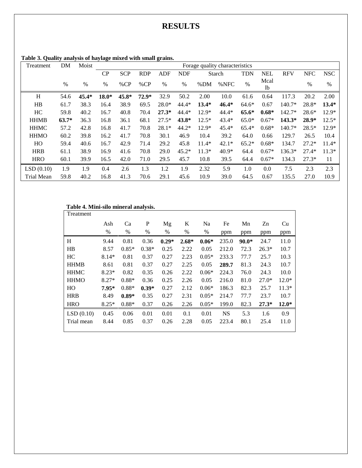## **RESULTS**

| Treatment         | DM      | Moist   | Forage quality characteristics |            |            |         |            |         |         |            |            |            |            |            |
|-------------------|---------|---------|--------------------------------|------------|------------|---------|------------|---------|---------|------------|------------|------------|------------|------------|
|                   |         |         | CP                             | <b>SCP</b> | <b>RDP</b> | ADF     | <b>NDF</b> | Starch  |         | <b>TDN</b> | <b>NEL</b> | <b>RFV</b> | <b>NFC</b> | <b>NSC</b> |
|                   | $\%$    | $\%$    | $\%$                           | %CP        | %CP        | $\%$    | $\%$       | %DM     | %NFC    | $\%$       | Mcal<br>lb |            | $\%$       | $\%$       |
| H                 | 54.6    | $45.4*$ | $18.0*$                        | 45.8*      | $72.9*$    | 32.9    | 50.2       | 2.00    | 10.0    | 61.6       | 0.64       | 117.3      | 20.2       | 2.00       |
| HB                | 61.7    | 38.3    | 16.4                           | 38.9       | 69.5       | $28.0*$ | $44.4*$    | $13.4*$ | $46.4*$ | $64.6*$    | 0.67       | $140.7*$   | 28.8*      | $13.4*$    |
| HC                | 59.8    | 40.2    | 16.7                           | 40.8       | 70.4       | $27.3*$ | $44.4*$    | $12.9*$ | $44.4*$ | $65.6*$    | $0.68*$    | 142.7*     | $28.6*$    | $12.9*$    |
| <b>HHMB</b>       | $63.7*$ | 36.3    | 16.8                           | 36.1       | 68.1       | $27.5*$ | $43.8*$    | $12.5*$ | $43.4*$ | $65.0*$    | $0.67*$    | $143.3*$   | $28.9*$    | $12.5*$    |
| <b>HHMC</b>       | 57.2    | 42.8    | 16.8                           | 41.7       | 70.8       | $28.1*$ | $44.2*$    | $12.9*$ | $45.4*$ | $65.4*$    | $0.68*$    | $140.7*$   | $28.5*$    | $12.9*$    |
| <b>HHMO</b>       | 60.2    | 39.8    | 16.2                           | 41.7       | 70.8       | 30.1    | 46.9       | 10.4    | 39.2    | 64.0       | 0.66       | 129.7      | 26.5       | 10.4       |
| HO                | 59.4    | 40.6    | 16.7                           | 42.9       | 71.4       | 29.2    | 45.8       | $11.4*$ | $42.1*$ | $65.2*$    | $0.68*$    | 134.7      | $27.2*$    | $11.4*$    |
| <b>HRB</b>        | 61.1    | 38.9    | 16.9                           | 41.6       | 70.8       | 29.0    | $45.2*$    | $11.3*$ | $40.9*$ | 64.4       | $0.67*$    | 136.3*     | $27.4*$    | $11.3*$    |
| <b>HRO</b>        | 60.1    | 39.9    | 16.5                           | 42.0       | 71.0       | 29.5    | 45.7       | 10.8    | 39.5    | 64.4       | $0.67*$    | 134.3      | $27.3*$    | 11         |
| LSD(0.10)         | 1.9     | 1.9     | 0.4                            | 2.6        | 1.3        | 1.2     | 1.9        | 2.32    | 5.9     | 1.0        | 0.0        | 7.5        | 2.3        | 2.3        |
| <b>Trial Mean</b> | 59.8    | 40.2    | 16.8                           | 41.3       | 70.6       | 29.1    | 45.6       | 10.9    | 39.0    | 64.5       | 0.67       | 135.5      | 27.0       | 10.9       |

**Table 3. Quality analysis of haylage mixed with small grains.** 

#### **Table 4. Mini-silo mineral analysis.**

| Treatment   |         |         |         |         |         |         |           |         |         |         |
|-------------|---------|---------|---------|---------|---------|---------|-----------|---------|---------|---------|
|             | Ash     | Ca      | P       | Mg      | K       | Na      | Fe        | Mn      | Zn      | Cu      |
|             | %       | %       | %       | $\%$    | %       | $\%$    | ppm       | ppm     | ppm     | ppm     |
| H           | 9.44    | 0.81    | 0.36    | $0.29*$ | $2.68*$ | $0.06*$ | 235.0     | $90.0*$ | 24.7    | 11.0    |
| HB          | 8.57    | $0.85*$ | $0.38*$ | 0.25    | 2.22    | 0.05    | 212.0     | 72.3    | $26.3*$ | 10.7    |
| HC          | $8.14*$ | 0.81    | 0.37    | 0.27    | 2.23    | $0.05*$ | 233.3     | 77.7    | 25.7    | 10.3    |
| <b>HHMB</b> | 8.61    | 0.81    | 0.37    | 0.27    | 2.25    | 0.05    | 289.7     | 81.3    | 24.3    | 10.7    |
| <b>HHMC</b> | $8.23*$ | 0.82    | 0.35    | 0.26    | 2.22    | $0.06*$ | 224.3     | 76.0    | 24.3    | 10.0    |
| <b>HHMO</b> | $8.27*$ | $0.88*$ | 0.36    | 0.25    | 2.26    | 0.05    | 216.0     | 81.0    | $27.0*$ | $12.0*$ |
| HO          | $7.95*$ | $0.88*$ | $0.39*$ | 0.27    | 2.12    | $0.06*$ | 186.3     | 82.3    | 25.7    | $11.3*$ |
| <b>HRB</b>  | 8.49    | $0.89*$ | 0.35    | 0.27    | 2.31    | $0.05*$ | 214.7     | 77.7    | 23.7    | 10.7    |
| <b>HRO</b>  | $8.25*$ | $0.88*$ | 0.37    | 0.26    | 2.26    | $0.05*$ | 199.0     | 82.3    | $27.3*$ | $12.0*$ |
| LSD(0.10)   | 0.45    | 0.06    | 0.01    | 0.01    | 0.1     | 0.01    | <b>NS</b> | 5.3     | 1.6     | 0.9     |
| Trial mean  | 8.44    | 0.85    | 0.37    | 0.26    | 2.28    | 0.05    | 223.4     | 80.1    | 25.4    | 11.0    |
|             |         |         |         |         |         |         |           |         |         |         |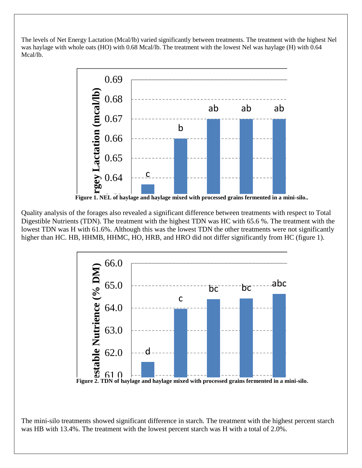The levels of Net Energy Lactation (Mcal/lb) varied significantly between treatments. The treatment with the highest Nel was haylage with whole oats (HO) with 0.68 Mcal/lb. The treatment with the lowest Nel was haylage (H) with 0.64 Mcal/lb.



**a** 

ab ab ab <sup>a</sup>

higher than HC. HB, HHMB, HHMC, HO, HRB, and HRO did not differ significantly from HC (figure 1). Quanty analysis of the forages also reveated a significant difference between treatments with respect to Fotal<br>Digestible Nutrients (TDN). The treatment with the highest TDN was HC with 65.6 %. The treatment with the Quality analysis of the forages also revealed a significant difference between treatments with respect to Total lowest TDN was H with 61.6%. Although this was the lowest TDN the other treatments were not significantly



**Figure 2. TDN of haylage and haylage mixed with processed grains fermented in a mini-silo.**

The mini-silo treatments showed significant difference in starch. The treatment with the highest percent starch was HB with 13.4%. The treatment with the lowest percent starch was H with a total of  $2.0\%$ .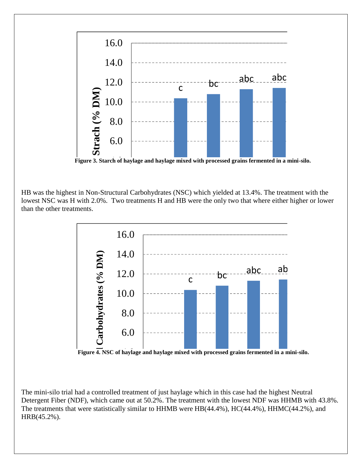

abc ab ab <sup>a</sup>

abc ab ab <sup>a</sup>

Figure 3. Starch of haylage and haylage mixed with processed grains fermented in a mini-silo.

lowest NSC was H with 2.0%. Two treatments H and HB were the only two that where either higher or lower H HAMO HRO HRO HRO HRO HRB HO HRO HRB HC HAMO HR HB was the highest in Non-Structural Carbohydrates (NSC) which yielded at 13.4%. The treatment with the than the other treatments.



Figure 4. NSC of haylage and haylage mixed with processed grains fermented in a mini-silo.

The mini-silo trial had a controlled treatment of just haylage which in this case had the highest Neutral The film-sho trial had a controlled treatment of just haylage which in this case had the highest Neutral<br>Detergent Fiber (NDF), which came out at 50.2%. The treatment with the lowest NDF was HHMB with 43.8%. The treatments that were statistically similar to HHMB were HB(44.4%), HC(44.4%), HHMC(44.2%), and HRB(45.2%).